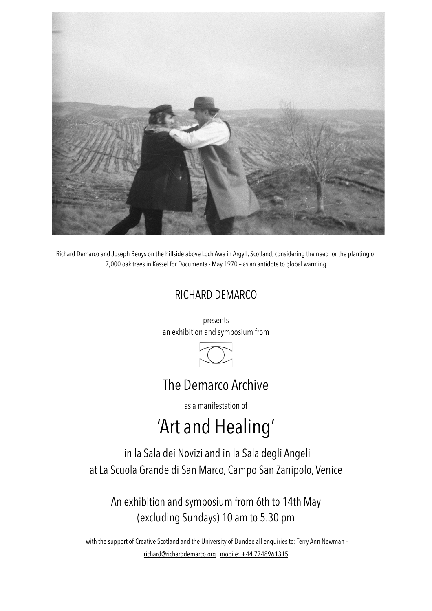

Richard Demarco and Joseph Beuys on the hillside above Loch Awe in Argyll, Scotland, considering the need for the planting of 7,000 oak trees in Kassel for Documenta - May 1970 – as an antidote to global warming

### RICHARD DEMARCO

presents an exhibition and symposium from



## The Demarco Archive

as a manifestation of

# 'Art and Healing'

in la Sala dei Novizi and in la Sala degli Angeli at La Scuola Grande di San Marco, Campo San Zanipolo, Venice

An exhibition and symposium from 6th to 14th May (excluding Sundays) 10 am to 5.30 pm

with the support of Creative Scotland and the University of Dundee all enquiries to: Terry Ann Newman – [richard@richarddemarco.org](mailto:richard@richarddemarco.org) [mobile: +44 7748961315](mailto:richard@richarddemarco.org)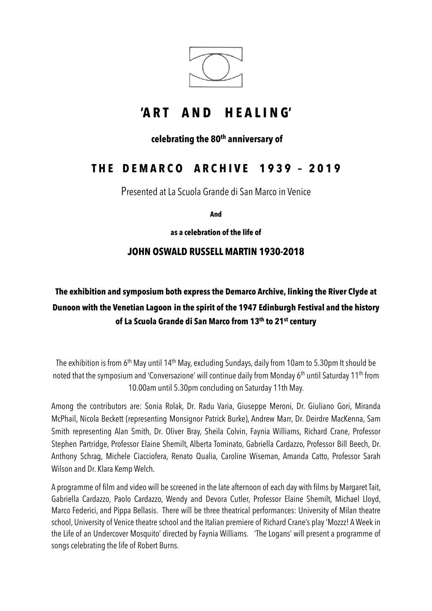

# **'A R T A N D H E A L I N G'**

### **celebrating the 80th anniversary of**

### **T H E D E M A R C O A R C H I V E 1 9 3 9 – 2 0 1 9**

Presented at La Scuola Grande di San Marco in Venice

**And**

**as a celebration of the life of** 

### **JOHN OSWALD RUSSELL MARTIN 1930-2018**

### **The exhibition and symposium both express the Demarco Archive, linking the River Clyde at Dunoon with the Venetian Lagoon in the spirit of the 1947 Edinburgh Festival and the history of La Scuola Grande di San Marco from 13th to 21st century**

The exhibition is from 6<sup>th</sup> May until 14<sup>th</sup> May, excluding Sundays, daily from 10am to 5.30pm It should be noted that the symposium and 'Conversazione' will continue daily from Monday 6<sup>th</sup> until Saturday 11<sup>th</sup> from 10.00am until 5.30pm concluding on Saturday 11th May.

Among the contributors are: Sonia Rolak, Dr. Radu Varia, Giuseppe Meroni, Dr. Giuliano Gori, Miranda McPhail, Nicola Beckett (representing Monsignor Patrick Burke), Andrew Marr, Dr. Deirdre MacKenna, Sam Smith representing Alan Smith, Dr. Oliver Bray, Sheila Colvin, Faynia Williams, Richard Crane, Professor Stephen Partridge, Professor Elaine Shemilt, Alberta Tominato, Gabriella Cardazzo, Professor Bill Beech, Dr. Anthony Schrag, Michele Ciacciofera, Renato Qualia, Caroline Wiseman, Amanda Catto, Professor Sarah Wilson and Dr. Klara Kemp Welch.

A programme of film and video will be screened in the late afternoon of each day with films by Margaret Tait, Gabriella Cardazzo, Paolo Cardazzo, Wendy and Devora Cutler, Professor Elaine Shemilt, Michael Lloyd, Marco Federici, and Pippa Bellasis. There will be three theatrical performances: University of Milan theatre school, University of Venice theatre school and the Italian premiere of Richard Crane's play 'Mozzz! A Week in the Life of an Undercover Mosquito' directed by Faynia Williams. 'The Logans' will present a programme of songs celebrating the life of Robert Burns.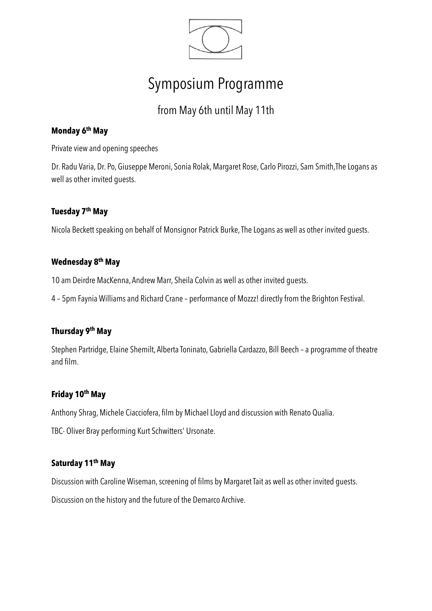

# Symposium Programme

### from May 6th until May 11th

### **Monday 6th May**

Private view and opening speeches

Dr. Radu Varia, Dr. Po, Giuseppe Meroni, Sonia Rolak, Margaret Rose, Carlo Pirozzi, Sam Smith,The Logans as well as other invited guests.

#### **Tuesday 7th May**

Nicola Beckett speaking on behalf of Monsignor Patrick Burke, The Logans as well as other invited guests.

#### **Wednesday 8th May**

10 am Deirdre MacKenna, Andrew Marr, Sheila Colvin as well as other invited guests.

4 – 5pm Faynia Williams and Richard Crane – performance of Mozzz! directly from the Brighton Festival.

#### **Thursday 9th May**

Stephen Partridge, Elaine Shemilt, Alberta Toninato, Gabriella Cardazzo, Bill Beech – a programme of theatre and film.

#### **Friday 10th May**

Anthony Shrag, Michele Ciacciofera, film by Michael Lloyd and discussion with Renato Qualia.

TBC- Oliver Bray performing Kurt Schwitters' Ursonate.

### **Saturday 11th May**

Discussion with Caroline Wiseman, screening of films by Margaret Tait as well as other invited guests.

Discussion on the history and the future of the Demarco Archive.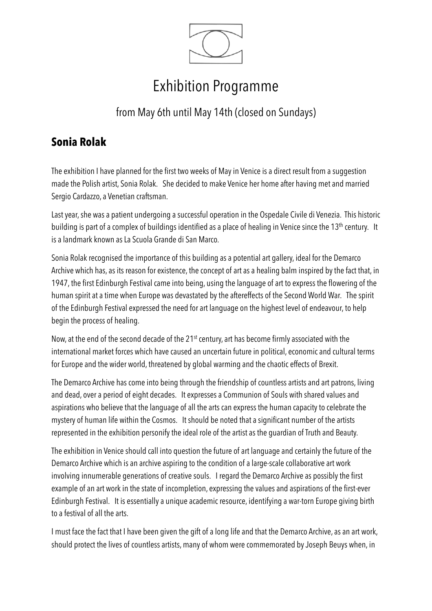

# Exhibition Programme

from May 6th until May 14th (closed on Sundays)

### **Sonia Rolak**

The exhibition I have planned for the first two weeks of May in Venice is a direct result from a suggestion made the Polish artist, Sonia Rolak. She decided to make Venice her home after having met and married Sergio Cardazzo, a Venetian craftsman.

Last year, she was a patient undergoing a successful operation in the Ospedale Civile di Venezia. This historic building is part of a complex of buildings identified as a place of healing in Venice since the 13<sup>th</sup> century. It is a landmark known as La Scuola Grande di San Marco.

Sonia Rolak recognised the importance of this building as a potential art gallery, ideal for the Demarco Archive which has, as its reason for existence, the concept of art as a healing balm inspired by the fact that, in 1947, the first Edinburgh Festival came into being, using the language of art to express the flowering of the human spirit at a time when Europe was devastated by the aftereffects of the Second World War. The spirit of the Edinburgh Festival expressed the need for art language on the highest level of endeavour, to help begin the process of healing.

Now, at the end of the second decade of the 21<sup>st</sup> century, art has become firmly associated with the international market forces which have caused an uncertain future in political, economic and cultural terms for Europe and the wider world, threatened by global warming and the chaotic effects of Brexit.

The Demarco Archive has come into being through the friendship of countless artists and art patrons, living and dead, over a period of eight decades. It expresses a Communion of Souls with shared values and aspirations who believe that the language of all the arts can express the human capacity to celebrate the mystery of human life within the Cosmos. It should be noted that a significant number of the artists represented in the exhibition personify the ideal role of the artist as the guardian of Truth and Beauty.

The exhibition in Venice should call into question the future of art language and certainly the future of the Demarco Archive which is an archive aspiring to the condition of a large-scale collaborative art work involving innumerable generations of creative souls. I regard the Demarco Archive as possibly the first example of an art work in the state of incompletion, expressing the values and aspirations of the first-ever Edinburgh Festival. It is essentially a unique academic resource, identifying a war-torn Europe giving birth to a festival of all the arts.

I must face the fact that I have been given the gift of a long life and that the Demarco Archive, as an art work, should protect the lives of countless artists, many of whom were commemorated by Joseph Beuys when, in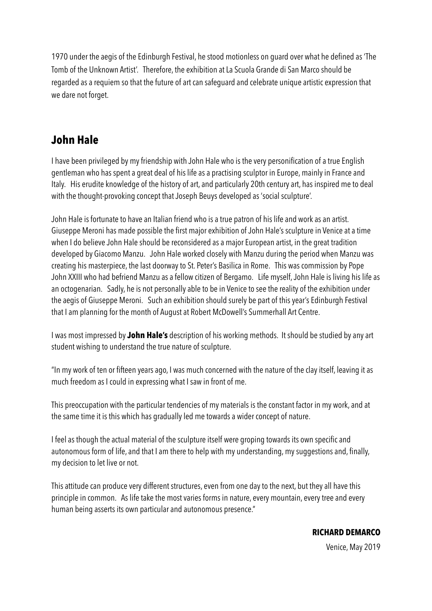1970 under the aegis of the Edinburgh Festival, he stood motionless on guard over what he defined as 'The Tomb of the Unknown Artist'. Therefore, the exhibition at La Scuola Grande di San Marco should be regarded as a requiem so that the future of art can safeguard and celebrate unique artistic expression that we dare not forget.

### **John Hale**

I have been privileged by my friendship with John Hale who is the very personification of a true English gentleman who has spent a great deal of his life as a practising sculptor in Europe, mainly in France and Italy. His erudite knowledge of the history of art, and particularly 20th century art, has inspired me to deal with the thought-provoking concept that Joseph Beuys developed as 'social sculpture'.

John Hale is fortunate to have an Italian friend who is a true patron of his life and work as an artist. Giuseppe Meroni has made possible the first major exhibition of John Hale's sculpture in Venice at a time when I do believe John Hale should be reconsidered as a major European artist, in the great tradition developed by Giacomo Manzu. John Hale worked closely with Manzu during the period when Manzu was creating his masterpiece, the last doorway to St. Peter's Basilica in Rome. This was commission by Pope John XXIII who had befriend Manzu as a fellow citizen of Bergamo. Life myself, John Hale is living his life as an octogenarian. Sadly, he is not personally able to be in Venice to see the reality of the exhibition under the aegis of Giuseppe Meroni. Such an exhibition should surely be part of this year's Edinburgh Festival that I am planning for the month of August at Robert McDowell's Summerhall Art Centre.

I was most impressed by **John Hale's** description of his working methods. It should be studied by any art student wishing to understand the true nature of sculpture.

"In my work of ten or fifteen years ago, I was much concerned with the nature of the clay itself, leaving it as much freedom as I could in expressing what I saw in front of me.

This preoccupation with the particular tendencies of my materials is the constant factor in my work, and at the same time it is this which has gradually led me towards a wider concept of nature.

I feel as though the actual material of the sculpture itself were groping towards its own specific and autonomous form of life, and that I am there to help with my understanding, my suggestions and, finally, my decision to let live or not.

This attitude can produce very different structures, even from one day to the next, but they all have this principle in common. As life take the most varies forms in nature, every mountain, every tree and every human being asserts its own particular and autonomous presence."

Venice, May 2019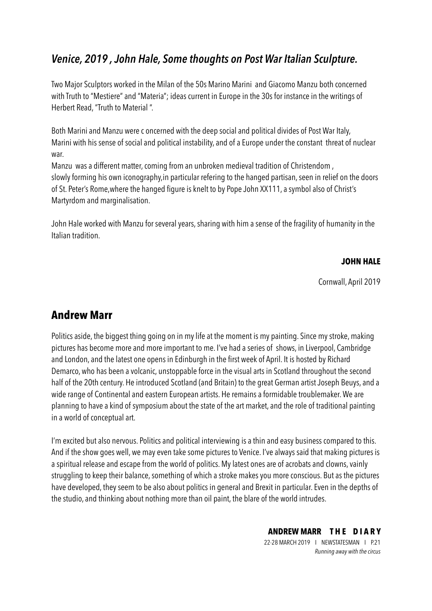### *Venice, 2019 , John Hale, Some thoughts on Post War Italian Sculpture.*

Two Major Sculptors worked in the Milan of the 50s Marino Marini and Giacomo Manzu both concerned with Truth to "Mestiere" and "Materia"; ideas current in Europe in the 30s for instance in the writings of Herbert Read, "Truth to Material ".

Both Marini and Manzu were c oncerned with the deep social and political divides of Post War Italy, Marini with his sense of social and political instability, and of a Europe under the constant threat of nuclear war.

Manzu was a different matter, coming from an unbroken medieval tradition of Christendom , slowly forming his own iconography,in particular refering to the hanged partisan, seen in relief on the doors of St. Peter's Rome,where the hanged figure is knelt to by Pope John XX111, a symbol also of Christ's Martyrdom and marginalisation.

John Hale worked with Manzu for several years, sharing with him a sense of the fragility of humanity in the Italian tradition.

#### **JOHN HALE**

Cornwall, April 2019

### **Andrew Marr**

Politics aside, the biggest thing going on in my life at the moment is my painting. Since my stroke, making pictures has become more and more important to me. I've had a series of shows, in Liverpool, Cambridge and London, and the latest one opens in Edinburgh in the first week of April. It is hosted by Richard Demarco, who has been a volcanic, unstoppable force in the visual arts in Scotland throughout the second half of the 20th century. He introduced Scotland (and Britain) to the great German artist Joseph Beuys, and a wide range of Continental and eastern European artists. He remains a formidable troublemaker. We are planning to have a kind of symposium about the state of the art market, and the role of traditional painting in a world of conceptual art.

I'm excited but also nervous. Politics and political interviewing is a thin and easy business compared to this. And if the show goes well, we may even take some pictures to Venice. I've always said that making pictures is a spiritual release and escape from the world of politics. My latest ones are of acrobats and clowns, vainly struggling to keep their balance, something of which a stroke makes you more conscious. But as the pictures have developed, they seem to be also about politics in general and Brexit in particular. Even in the depths of the studio, and thinking about nothing more than oil paint, the blare of the world intrudes.

**ANDREW MARR T H E D I A R Y** 

22-28 MARCH 2019 I NEWSTATESMAN I P.21 *Running away with the circus*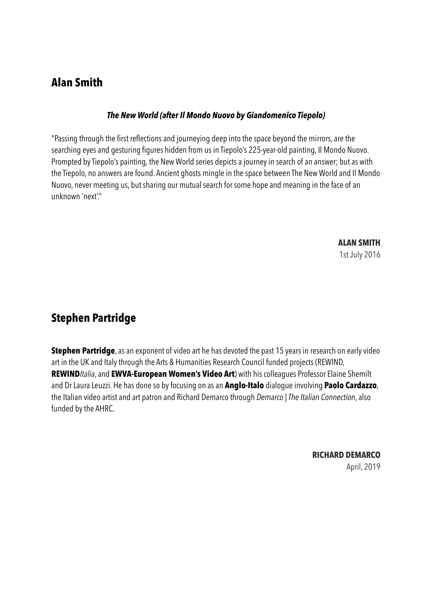### **Alan Smith**

#### *The New World (after Il Mondo Nuovo by Giandomenico Tiepolo)*

"Passing through the first reflections and journeying deep into the space beyond the mirrors, are the searching eyes and gesturing figures hidden from us in Tiepolo's 225-year-old painting, [Il Mondo Nuovo.](http://www.alansmithartist.com/mondo-nuovo.html) Prompted by Tiepolo's painting, the New World series depicts a journey in search of an answer; but as with the Tiepolo, no answers are found. Ancient ghosts mingle in the space between The New World and Il Mondo Nuovo, never meeting us, but sharing our mutual search for some hope and meaning in the face of an unknown 'next'."

> **ALAN SMITH**  1st July 2016

### **Stephen Partridge**

**Stephen Partridge**, as an exponent of video art he has devoted the past 15 years in research on early video art in the UK and Italy through the Arts & Humanities Research Council funded projects (REWIND, **REWIND***Italia*, and **EWVA-European Women's Video Art**) with his colleagues Professor Elaine Shemilt and Dr Laura Leuzzi. He has done so by focusing on as an **Anglo-Italo** dialogue involving **Paolo Cardazzo**, the Italian video artist and art patron and Richard Demarco through *Demarco | The Italian Connection*, also funded by the AHRC.

> **RICHARD DEMARCO**  April, 2019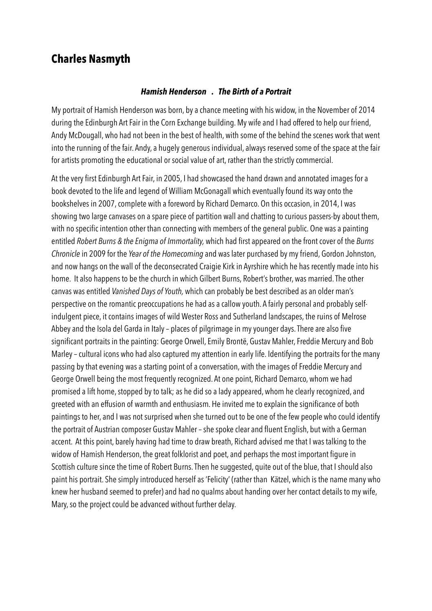### **Charles Nasmyth**

#### *Hamish Henderson . The Birth of a Portrait*

My portrait of Hamish Henderson was born, by a chance meeting with his widow, in the November of 2014 during the Edinburgh Art Fair in the Corn Exchange building. My wife and I had offered to help our friend, Andy McDougall, who had not been in the best of health, with some of the behind the scenes work that went into the running of the fair. Andy, a hugely generous individual, always reserved some of the space at the fair for artists promoting the educational or social value of art, rather than the strictly commercial.

At the very first Edinburgh Art Fair, in 2005, I had showcased the hand drawn and annotated images for a book devoted to the life and legend of William McGonagall which eventually found its way onto the bookshelves in 2007, complete with a foreword by Richard Demarco. On this occasion, in 2014, I was showing two large canvases on a spare piece of partition wall and chatting to curious passers-by about them, with no specific intention other than connecting with members of the general public. One was a painting entitled *Robert Burns & the Enigma of Immortality,* which had first appeared on the front cover of the *Burns Chronicle* in 2009 for the *Year of the Homecoming* and was later purchased by my friend, Gordon Johnston, and now hangs on the wall of the deconsecrated Craigie Kirk in Ayrshire which he has recently made into his home. It also happens to be the church in which Gilbert Burns, Robert's brother, was married. The other canvas was entitled *Vanished Days of Youth,* which can probably be best described as an older man's perspective on the romantic preoccupations he had as a callow youth. A fairly personal and probably selfindulgent piece, it contains images of wild Wester Ross and Sutherland landscapes, the ruins of Melrose Abbey and the Isola del Garda in Italy – places of pilgrimage in my younger days. There are also five significant portraits in the painting: George Orwell, Emily Brontë, Gustav Mahler, Freddie Mercury and Bob Marley – cultural icons who had also captured my attention in early life. Identifying the portraits for the many passing by that evening was a starting point of a conversation, with the images of Freddie Mercury and George Orwell being the most frequently recognized. At one point, Richard Demarco, whom we had promised a lift home, stopped by to talk; as he did so a lady appeared, whom he clearly recognized, and greeted with an effusion of warmth and enthusiasm. He invited me to explain the significance of both paintings to her, and I was not surprised when she turned out to be one of the few people who could identify the portrait of Austrian composer Gustav Mahler – she spoke clear and fluent English, but with a German accent. At this point, barely having had time to draw breath, Richard advised me that I was talking to the widow of Hamish Henderson, the great folklorist and poet, and perhaps the most important figure in Scottish culture since the time of Robert Burns. Then he suggested, quite out of the blue, that I should also paint his portrait. She simply introduced herself as 'Felicity' (rather than Kätzel, which is the name many who knew her husband seemed to prefer) and had no qualms about handing over her contact details to my wife, Mary, so the project could be advanced without further delay.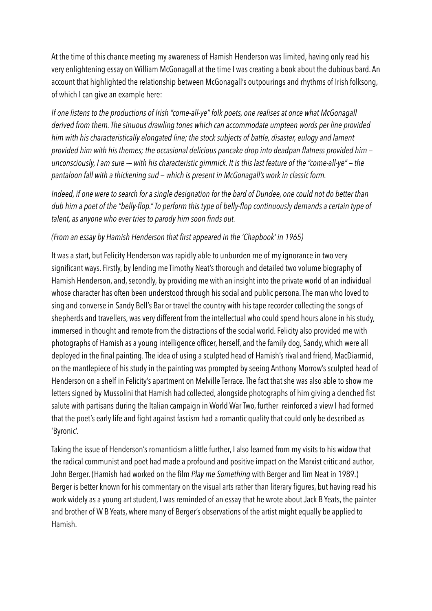At the time of this chance meeting my awareness of Hamish Henderson was limited, having only read his very enlightening essay on William McGonagall at the time I was creating a book about the dubious bard. An account that highlighted the relationship between McGonagall's outpourings and rhythms of Irish folksong, of which I can give an example here:

*If one listens to the productions of Irish "come-all-ye" folk poets, one realises at once what McGonagall derived from them. The sinuous drawling tones which can accommodate umpteen words per line provided him with his characteristically elongated line; the stock subjects of battle, disaster, eulogy and lament provided him with his themes; the occasional delicious pancake drop into deadpan flatness provided him unconsciously, I am sure -— with his characteristic gimmick. It is this last feature of the "come-all-ye" — the pantaloon fall with a thickening sud — which is present in McGonagall's work in classic form.* 

*Indeed, if one were to search for a single designation for the bard of Dundee, one could not do better than dub him a poet of the "belly-flop." To perform this type of belly-flop continuously demands a certain type of talent, as anyone who ever tries to parody him soon finds out.* 

#### *(From an essay by Hamish Henderson that first appeared in the 'Chapbook' in 1965)*

It was a start, but Felicity Henderson was rapidly able to unburden me of my ignorance in two very significant ways. Firstly, by lending me Timothy Neat's thorough and detailed two volume biography of Hamish Henderson, and, secondly, by providing me with an insight into the private world of an individual whose character has often been understood through his social and public persona. The man who loved to sing and converse in Sandy Bell's Bar or travel the country with his tape recorder collecting the songs of shepherds and travellers, was very different from the intellectual who could spend hours alone in his study, immersed in thought and remote from the distractions of the social world. Felicity also provided me with photographs of Hamish as a young intelligence officer, herself, and the family dog, Sandy, which were all deployed in the final painting. The idea of using a sculpted head of Hamish's rival and friend, MacDiarmid, on the mantlepiece of his study in the painting was prompted by seeing Anthony Morrow's sculpted head of Henderson on a shelf in Felicity's apartment on Melville Terrace. The fact that she was also able to show me letters signed by Mussolini that Hamish had collected, alongside photographs of him giving a clenched fist salute with partisans during the Italian campaign in World War Two, further reinforced a view I had formed that the poet's early life and fight against fascism had a romantic quality that could only be described as 'Byronic'.

Taking the issue of Henderson's romanticism a little further, I also learned from my visits to his widow that the radical communist and poet had made a profound and positive impact on the Marxist critic and author, John Berger. (Hamish had worked on the film *Play me Something* with Berger and Tim Neat in 1989.) Berger is better known for his commentary on the visual arts rather than literary figures, but having read his work widely as a young art student, I was reminded of an essay that he wrote about Jack B Yeats, the painter and brother of W B Yeats, where many of Berger's observations of the artist might equally be applied to Hamish.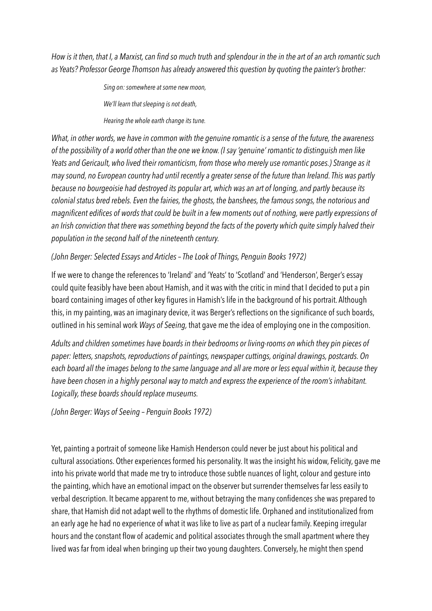*How is it then, that I, a Marxist, can find so much truth and splendour in the in the art of an arch romantic such as Yeats? Professor George Thomson has already answered this question by quoting the painter's brother:*

> *Sing on: somewhere at some new moon, We'll learn that sleeping is not death,*

*Hearing the whole earth change its tune.* 

*What, in other words, we have in common with the genuine romantic is a sense of the future, the awareness of the possibility of a world other than the one we know. (I say 'genuine' romantic to distinguish men like Yeats and Gericault, who lived their romanticism, from those who merely use romantic poses.) Strange as it may sound, no European country had until recently a greater sense of the future than Ireland. This was partly because no bourgeoisie had destroyed its popular art, which was an art of longing, and partly because its colonial status bred rebels. Even the fairies, the ghosts, the banshees, the famous songs, the notorious and magnificent edifices of words that could be built in a few moments out of nothing, were partly expressions of an Irish conviction that there was something beyond the facts of the poverty which quite simply halved their population in the second half of the nineteenth century.* 

#### *(John Berger: Selected Essays and Articles – The Look of Things, Penguin Books 1972)*

If we were to change the references to 'Ireland' and 'Yeats' to 'Scotland' and 'Henderson', Berger's essay could quite feasibly have been about Hamish, and it was with the critic in mind that I decided to put a pin board containing images of other key figures in Hamish's life in the background of his portrait. Although this, in my painting, was an imaginary device, it was Berger's reflections on the significance of such boards, outlined in his seminal work *Ways of Seeing,* that gave me the idea of employing one in the composition.

*Adults and children sometimes have boards in their bedrooms or living-rooms on which they pin pieces of paper: letters, snapshots, reproductions of paintings, newspaper cuttings, original drawings, postcards. On each board all the images belong to the same language and all are more or less equal within it, because they have been chosen in a highly personal way to match and express the experience of the room's inhabitant. Logically, these boards should replace museums.* 

*(John Berger: Ways of Seeing – Penguin Books 1972)* 

Yet, painting a portrait of someone like Hamish Henderson could never be just about his political and cultural associations. Other experiences formed his personality. It was the insight his widow, Felicity, gave me into his private world that made me try to introduce those subtle nuances of light, colour and gesture into the painting, which have an emotional impact on the observer but surrender themselves far less easily to verbal description. It became apparent to me, without betraying the many confidences she was prepared to share, that Hamish did not adapt well to the rhythms of domestic life. Orphaned and institutionalized from an early age he had no experience of what it was like to live as part of a nuclear family. Keeping irregular hours and the constant flow of academic and political associates through the small apartment where they lived was far from ideal when bringing up their two young daughters. Conversely, he might then spend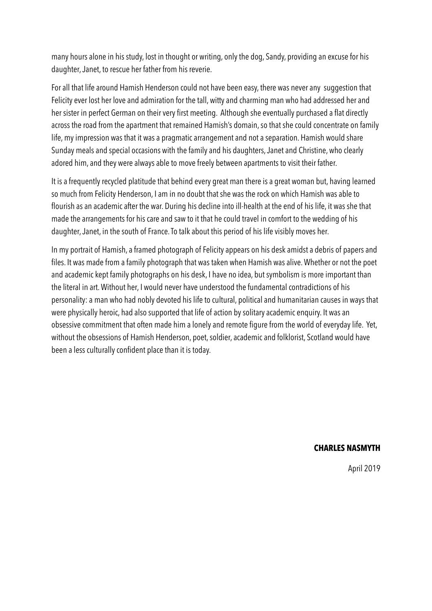many hours alone in his study, lost in thought or writing, only the dog, Sandy, providing an excuse for his daughter, Janet, to rescue her father from his reverie.

For all that life around Hamish Henderson could not have been easy, there was never any suggestion that Felicity ever lost her love and admiration for the tall, witty and charming man who had addressed her and her sister in perfect German on their very first meeting. Although she eventually purchased a flat directly across the road from the apartment that remained Hamish's domain, so that she could concentrate on family life, my impression was that it was a pragmatic arrangement and not a separation. Hamish would share Sunday meals and special occasions with the family and his daughters, Janet and Christine, who clearly adored him, and they were always able to move freely between apartments to visit their father.

It is a frequently recycled platitude that behind every great man there is a great woman but, having learned so much from Felicity Henderson, I am in no doubt that she was the rock on which Hamish was able to flourish as an academic after the war. During his decline into ill-health at the end of his life, it was she that made the arrangements for his care and saw to it that he could travel in comfort to the wedding of his daughter, Janet, in the south of France. To talk about this period of his life visibly moves her.

In my portrait of Hamish, a framed photograph of Felicity appears on his desk amidst a debris of papers and files. It was made from a family photograph that was taken when Hamish was alive. Whether or not the poet and academic kept family photographs on his desk, I have no idea, but symbolism is more important than the literal in art. Without her, I would never have understood the fundamental contradictions of his personality: a man who had nobly devoted his life to cultural, political and humanitarian causes in ways that were physically heroic, had also supported that life of action by solitary academic enquiry. It was an obsessive commitment that often made him a lonely and remote figure from the world of everyday life. Yet, without the obsessions of Hamish Henderson, poet, soldier, academic and folklorist, Scotland would have been a less culturally confident place than it is today.

#### **CHARLES NASMYTH**

April 2019